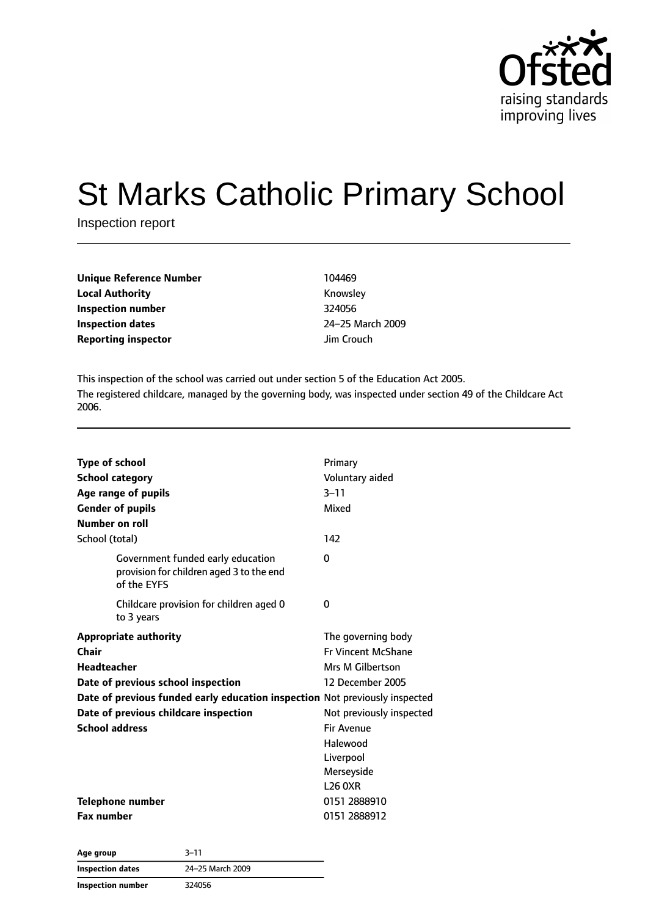

# St Marks Catholic Primary School

Inspection report

| <b>Unique Reference Number</b> | 104469     |
|--------------------------------|------------|
| <b>Local Authority</b>         | Knowsley   |
| Inspection number              | 324056     |
| Inspection dates               | 24-25 Marc |
| <b>Reporting inspector</b>     | Jim Crouch |

**Knowsley Inspection number** 324056 **Inspection dates** 24–25 March 2009

This inspection of the school was carried out under section 5 of the Education Act 2005. The registered childcare, managed by the governing body, was inspected under section 49 of the Childcare Act 2006.

| <b>Type of school</b>                                                                        | Primary                   |
|----------------------------------------------------------------------------------------------|---------------------------|
| <b>School category</b>                                                                       | Voluntary aided           |
| Age range of pupils                                                                          | $3 - 11$                  |
| <b>Gender of pupils</b>                                                                      | Mixed                     |
| Number on roll                                                                               |                           |
| School (total)                                                                               | 142                       |
| Government funded early education<br>provision for children aged 3 to the end<br>of the EYFS | 0                         |
| Childcare provision for children aged 0<br>to 3 years                                        | 0                         |
| <b>Appropriate authority</b>                                                                 | The governing body        |
| Chair                                                                                        | <b>Fr Vincent McShane</b> |
| <b>Headteacher</b>                                                                           | Mrs M Gilbertson          |
| Date of previous school inspection                                                           | 12 December 2005          |
| Date of previous funded early education inspection Not previously inspected                  |                           |
| Date of previous childcare inspection                                                        | Not previously inspected  |
| <b>School address</b>                                                                        | <b>Fir Avenue</b>         |
|                                                                                              | Halewood                  |
|                                                                                              | Liverpool                 |
|                                                                                              | Merseyside                |
|                                                                                              | <b>L26 0XR</b>            |
| <b>Telephone number</b>                                                                      | 0151 2888910              |
| <b>Fax number</b>                                                                            | 0151 2888912              |

**Age group** 3–11 **Inspection dates** 24–25 March 2009 **Inspection number** 324056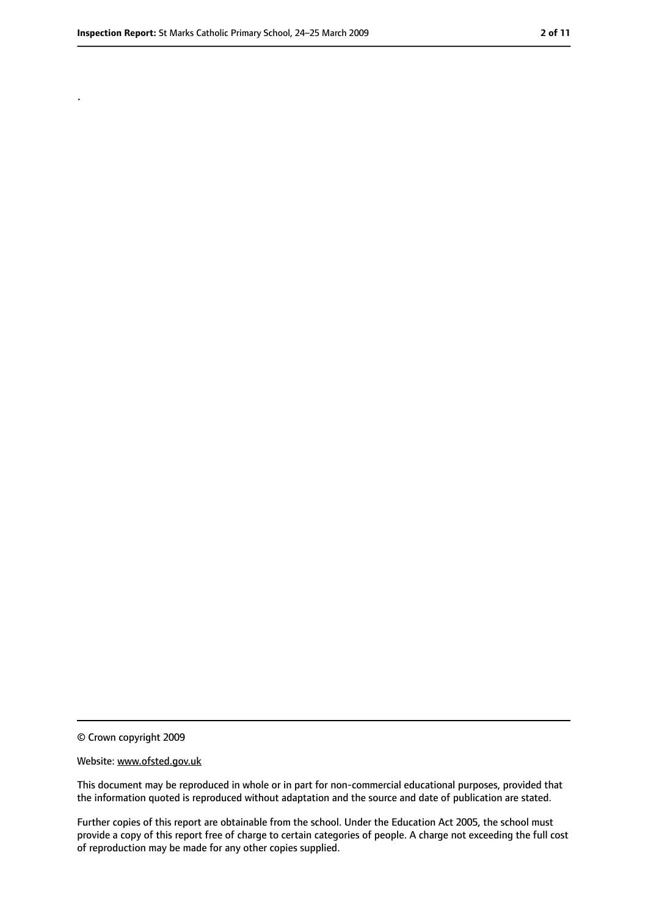.

<sup>©</sup> Crown copyright 2009

Website: www.ofsted.gov.uk

This document may be reproduced in whole or in part for non-commercial educational purposes, provided that the information quoted is reproduced without adaptation and the source and date of publication are stated.

Further copies of this report are obtainable from the school. Under the Education Act 2005, the school must provide a copy of this report free of charge to certain categories of people. A charge not exceeding the full cost of reproduction may be made for any other copies supplied.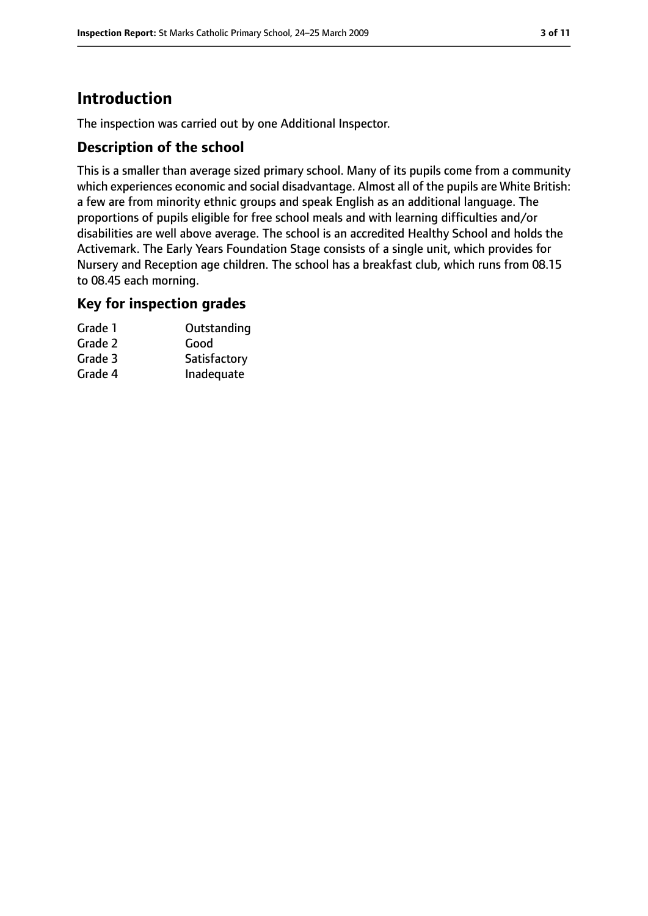# **Introduction**

The inspection was carried out by one Additional Inspector.

## **Description of the school**

This is a smaller than average sized primary school. Many of its pupils come from a community which experiences economic and social disadvantage. Almost all of the pupils are White British: a few are from minority ethnic groups and speak English as an additional language. The proportions of pupils eligible for free school meals and with learning difficulties and/or disabilities are well above average. The school is an accredited Healthy School and holds the Activemark. The Early Years Foundation Stage consists of a single unit, which provides for Nursery and Reception age children. The school has a breakfast club, which runs from 08.15 to 08.45 each morning.

## **Key for inspection grades**

| Grade 1 | Outstanding  |
|---------|--------------|
| Grade 2 | Good         |
| Grade 3 | Satisfactory |
| Grade 4 | Inadequate   |
|         |              |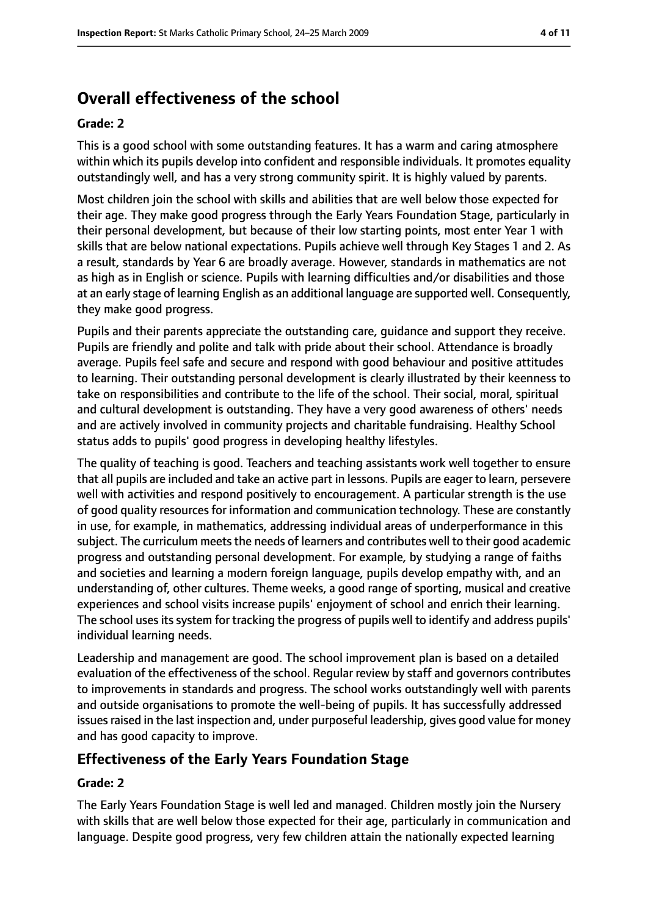# **Overall effectiveness of the school**

#### **Grade: 2**

This is a good school with some outstanding features. It has a warm and caring atmosphere within which its pupils develop into confident and responsible individuals. It promotes equality outstandingly well, and has a very strong community spirit. It is highly valued by parents.

Most children join the school with skills and abilities that are well below those expected for their age. They make good progress through the Early Years Foundation Stage, particularly in their personal development, but because of their low starting points, most enter Year 1 with skills that are below national expectations. Pupils achieve well through Key Stages 1 and 2. As a result, standards by Year 6 are broadly average. However, standards in mathematics are not as high as in English or science. Pupils with learning difficulties and/or disabilities and those at an early stage of learning English as an additional language are supported well. Consequently, they make good progress.

Pupils and their parents appreciate the outstanding care, guidance and support they receive. Pupils are friendly and polite and talk with pride about their school. Attendance is broadly average. Pupils feel safe and secure and respond with good behaviour and positive attitudes to learning. Their outstanding personal development is clearly illustrated by their keenness to take on responsibilities and contribute to the life of the school. Their social, moral, spiritual and cultural development is outstanding. They have a very good awareness of others' needs and are actively involved in community projects and charitable fundraising. Healthy School status adds to pupils' good progress in developing healthy lifestyles.

The quality of teaching is good. Teachers and teaching assistants work well together to ensure that all pupils are included and take an active part in lessons. Pupils are eager to learn, persevere well with activities and respond positively to encouragement. A particular strength is the use of good quality resources for information and communication technology. These are constantly in use, for example, in mathematics, addressing individual areas of underperformance in this subject. The curriculum meets the needs of learners and contributes well to their good academic progress and outstanding personal development. For example, by studying a range of faiths and societies and learning a modern foreign language, pupils develop empathy with, and an understanding of, other cultures. Theme weeks, a good range of sporting, musical and creative experiences and school visits increase pupils' enjoyment of school and enrich their learning. The school uses its system for tracking the progress of pupils well to identify and address pupils' individual learning needs.

Leadership and management are good. The school improvement plan is based on a detailed evaluation of the effectiveness of the school. Regular review by staff and governors contributes to improvements in standards and progress. The school works outstandingly well with parents and outside organisations to promote the well-being of pupils. It has successfully addressed issues raised in the last inspection and, under purposeful leadership, gives good value for money and has good capacity to improve.

## **Effectiveness of the Early Years Foundation Stage**

#### **Grade: 2**

The Early Years Foundation Stage is well led and managed. Children mostly join the Nursery with skills that are well below those expected for their age, particularly in communication and language. Despite good progress, very few children attain the nationally expected learning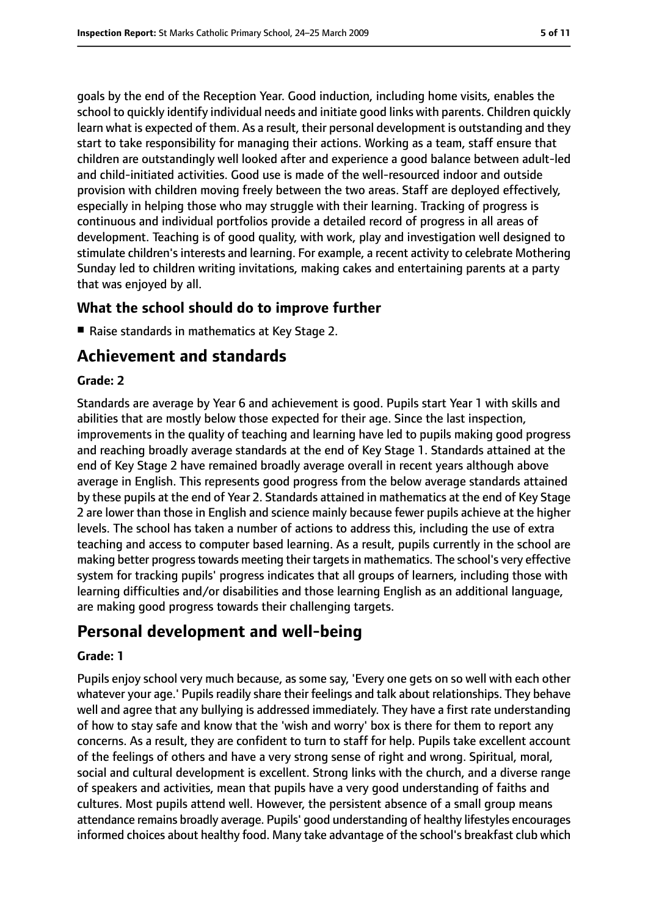goals by the end of the Reception Year. Good induction, including home visits, enables the school to quickly identify individual needs and initiate good links with parents. Children quickly learn what is expected of them. As a result, their personal development is outstanding and they start to take responsibility for managing their actions. Working as a team, staff ensure that children are outstandingly well looked after and experience a good balance between adult-led and child-initiated activities. Good use is made of the well-resourced indoor and outside provision with children moving freely between the two areas. Staff are deployed effectively, especially in helping those who may struggle with their learning. Tracking of progress is continuous and individual portfolios provide a detailed record of progress in all areas of development. Teaching is of good quality, with work, play and investigation well designed to stimulate children's interests and learning. For example, a recent activity to celebrate Mothering Sunday led to children writing invitations, making cakes and entertaining parents at a party that was enjoyed by all.

## **What the school should do to improve further**

■ Raise standards in mathematics at Key Stage 2.

# **Achievement and standards**

#### **Grade: 2**

Standards are average by Year 6 and achievement is good. Pupils start Year 1 with skills and abilities that are mostly below those expected for their age. Since the last inspection, improvements in the quality of teaching and learning have led to pupils making good progress and reaching broadly average standards at the end of Key Stage 1. Standards attained at the end of Key Stage 2 have remained broadly average overall in recent years although above average in English. This represents good progress from the below average standards attained by these pupils at the end of Year 2. Standards attained in mathematics at the end of Key Stage 2 are lower than those in English and science mainly because fewer pupils achieve at the higher levels. The school has taken a number of actions to address this, including the use of extra teaching and access to computer based learning. As a result, pupils currently in the school are making better progress towards meeting their targets in mathematics. The school's very effective system for tracking pupils' progress indicates that all groups of learners, including those with learning difficulties and/or disabilities and those learning English as an additional language, are making good progress towards their challenging targets.

# **Personal development and well-being**

#### **Grade: 1**

Pupils enjoy school very much because, as some say, 'Every one gets on so well with each other whatever your age.' Pupils readily share their feelings and talk about relationships. They behave well and agree that any bullying is addressed immediately. They have a first rate understanding of how to stay safe and know that the 'wish and worry' box is there for them to report any concerns. As a result, they are confident to turn to staff for help. Pupils take excellent account of the feelings of others and have a very strong sense of right and wrong. Spiritual, moral, social and cultural development is excellent. Strong links with the church, and a diverse range of speakers and activities, mean that pupils have a very good understanding of faiths and cultures. Most pupils attend well. However, the persistent absence of a small group means attendance remains broadly average. Pupils' good understanding of healthy lifestyles encourages informed choices about healthy food. Many take advantage of the school's breakfast club which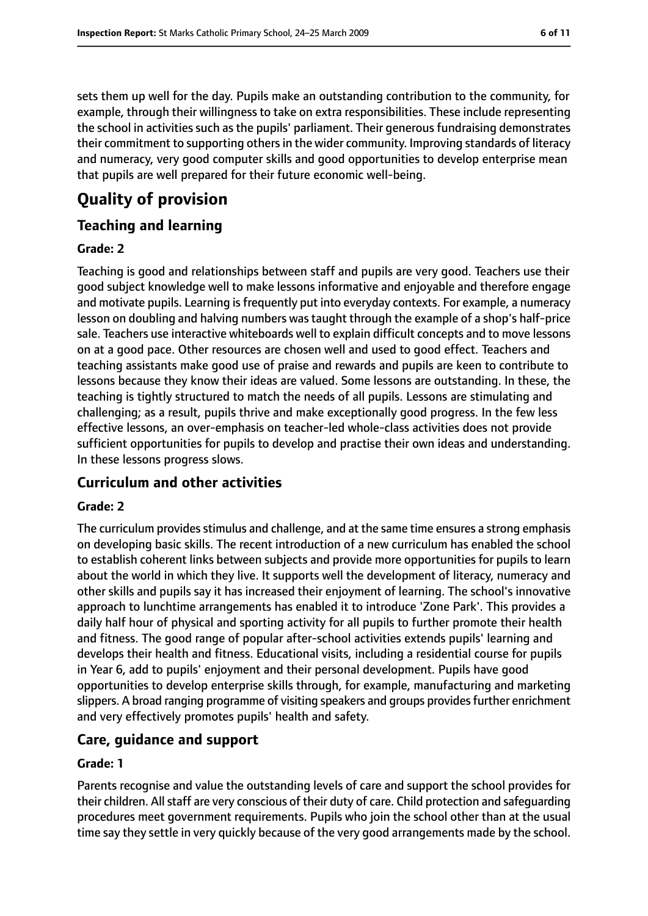sets them up well for the day. Pupils make an outstanding contribution to the community, for example, through their willingness to take on extra responsibilities. These include representing the school in activities such as the pupils' parliament. Their generous fundraising demonstrates their commitment to supporting others in the wider community. Improving standards of literacy and numeracy, very good computer skills and good opportunities to develop enterprise mean that pupils are well prepared for their future economic well-being.

# **Quality of provision**

## **Teaching and learning**

#### **Grade: 2**

Teaching is good and relationships between staff and pupils are very good. Teachers use their good subject knowledge well to make lessons informative and enjoyable and therefore engage and motivate pupils. Learning is frequently put into everyday contexts. For example, a numeracy lesson on doubling and halving numbers was taught through the example of a shop's half-price sale. Teachers use interactive whiteboards well to explain difficult concepts and to move lessons on at a good pace. Other resources are chosen well and used to good effect. Teachers and teaching assistants make good use of praise and rewards and pupils are keen to contribute to lessons because they know their ideas are valued. Some lessons are outstanding. In these, the teaching is tightly structured to match the needs of all pupils. Lessons are stimulating and challenging; as a result, pupils thrive and make exceptionally good progress. In the few less effective lessons, an over-emphasis on teacher-led whole-class activities does not provide sufficient opportunities for pupils to develop and practise their own ideas and understanding. In these lessons progress slows.

## **Curriculum and other activities**

#### **Grade: 2**

The curriculum provides stimulus and challenge, and at the same time ensures a strong emphasis on developing basic skills. The recent introduction of a new curriculum has enabled the school to establish coherent links between subjects and provide more opportunities for pupils to learn about the world in which they live. It supports well the development of literacy, numeracy and other skills and pupils say it has increased their enjoyment of learning. The school's innovative approach to lunchtime arrangements has enabled it to introduce 'Zone Park'. This provides a daily half hour of physical and sporting activity for all pupils to further promote their health and fitness. The good range of popular after-school activities extends pupils' learning and develops their health and fitness. Educational visits, including a residential course for pupils in Year 6, add to pupils' enjoyment and their personal development. Pupils have good opportunities to develop enterprise skills through, for example, manufacturing and marketing slippers. A broad ranging programme of visiting speakers and groups provides further enrichment and very effectively promotes pupils' health and safety.

## **Care, guidance and support**

#### **Grade: 1**

Parents recognise and value the outstanding levels of care and support the school provides for their children. All staff are very conscious of their duty of care. Child protection and safeguarding procedures meet government requirements. Pupils who join the school other than at the usual time say they settle in very quickly because of the very good arrangements made by the school.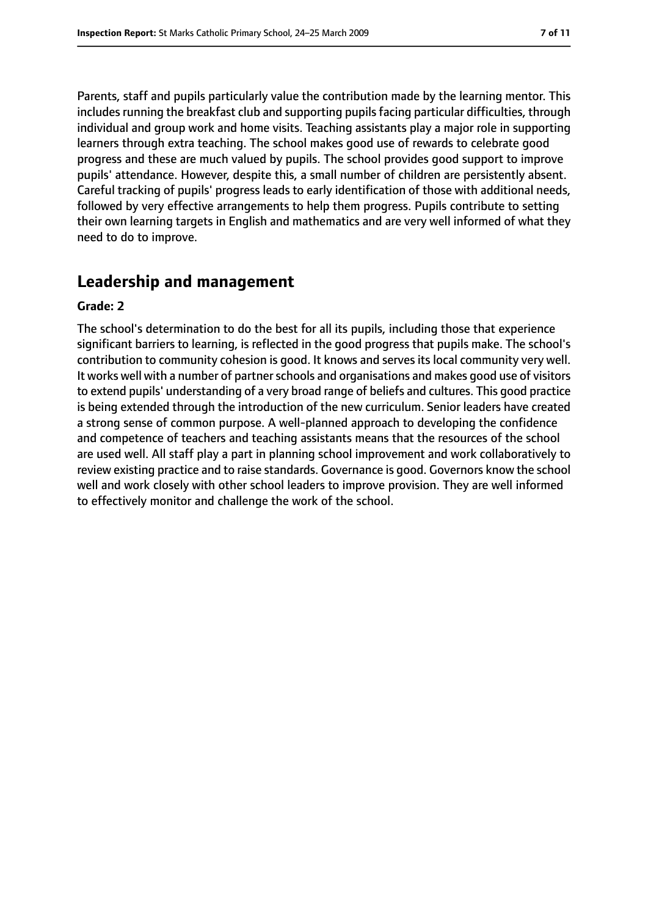Parents, staff and pupils particularly value the contribution made by the learning mentor. This includes running the breakfast club and supporting pupils facing particular difficulties, through individual and group work and home visits. Teaching assistants play a major role in supporting learners through extra teaching. The school makes good use of rewards to celebrate good progress and these are much valued by pupils. The school provides good support to improve pupils' attendance. However, despite this, a small number of children are persistently absent. Careful tracking of pupils' progress leads to early identification of those with additional needs, followed by very effective arrangements to help them progress. Pupils contribute to setting their own learning targets in English and mathematics and are very well informed of what they need to do to improve.

# **Leadership and management**

#### **Grade: 2**

The school's determination to do the best for all its pupils, including those that experience significant barriers to learning, is reflected in the good progress that pupils make. The school's contribution to community cohesion is good. It knows and serves its local community very well. It works well with a number of partner schools and organisations and makes good use of visitors to extend pupils' understanding of a very broad range of beliefs and cultures. This good practice is being extended through the introduction of the new curriculum. Senior leaders have created a strong sense of common purpose. A well-planned approach to developing the confidence and competence of teachers and teaching assistants means that the resources of the school are used well. All staff play a part in planning school improvement and work collaboratively to review existing practice and to raise standards. Governance is good. Governors know the school well and work closely with other school leaders to improve provision. They are well informed to effectively monitor and challenge the work of the school.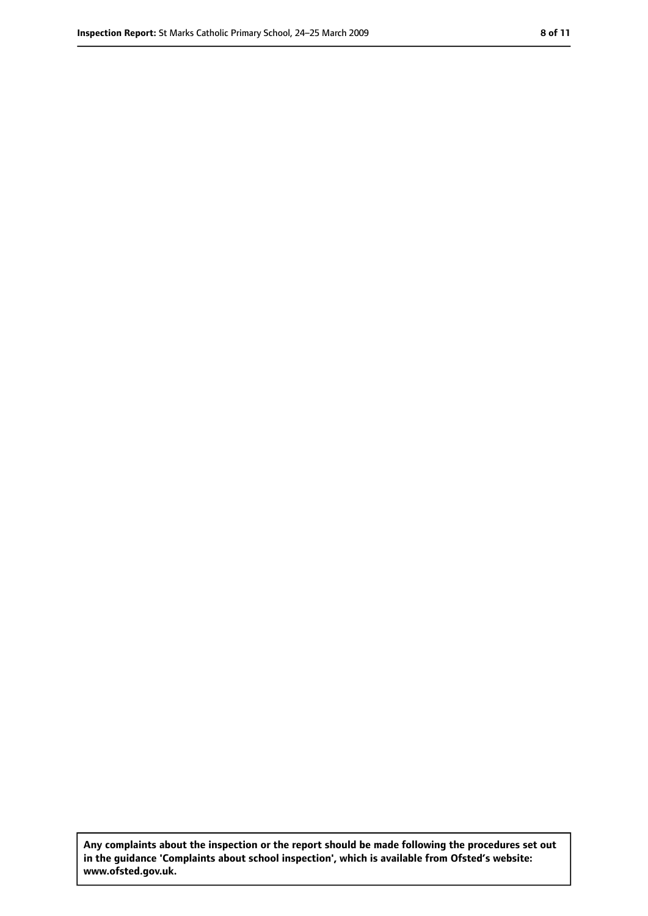**Any complaints about the inspection or the report should be made following the procedures set out in the guidance 'Complaints about school inspection', which is available from Ofsted's website: www.ofsted.gov.uk.**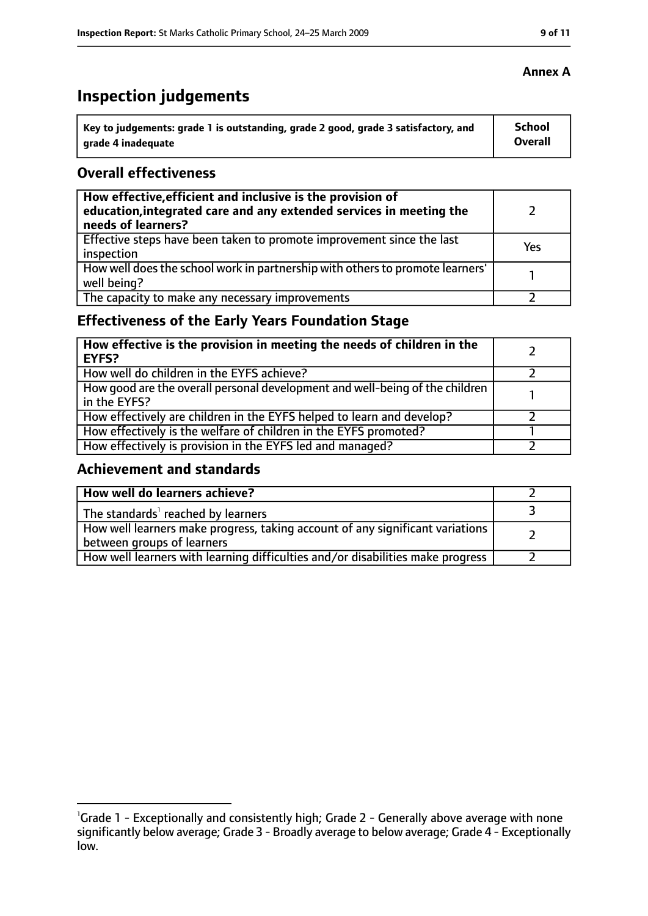# **Inspection judgements**

| Key to judgements: grade 1 is outstanding, grade 2 good, grade 3 satisfactory, and | School  |
|------------------------------------------------------------------------------------|---------|
| arade 4 inadequate                                                                 | Overall |

## **Overall effectiveness**

| How effective, efficient and inclusive is the provision of<br>education, integrated care and any extended services in meeting the<br>needs of learners? |     |
|---------------------------------------------------------------------------------------------------------------------------------------------------------|-----|
| Effective steps have been taken to promote improvement since the last<br>inspection                                                                     | Yes |
| How well does the school work in partnership with others to promote learners'<br>well being?                                                            |     |
| The capacity to make any necessary improvements                                                                                                         |     |

# **Effectiveness of the Early Years Foundation Stage**

| How effective is the provision in meeting the needs of children in the<br>EYFS?              |  |
|----------------------------------------------------------------------------------------------|--|
| How well do children in the EYFS achieve?                                                    |  |
| How good are the overall personal development and well-being of the children<br>in the EYFS? |  |
| How effectively are children in the EYFS helped to learn and develop?                        |  |
| How effectively is the welfare of children in the EYFS promoted?                             |  |
| How effectively is provision in the EYFS led and managed?                                    |  |

# **Achievement and standards**

| How well do learners achieve?                                                                               |  |
|-------------------------------------------------------------------------------------------------------------|--|
| The standards <sup>1</sup> reached by learners                                                              |  |
| How well learners make progress, taking account of any significant variations<br>between groups of learners |  |
| How well learners with learning difficulties and/or disabilities make progress                              |  |

#### **Annex A**

<sup>&</sup>lt;sup>1</sup>Grade 1 - Exceptionally and consistently high; Grade 2 - Generally above average with none significantly below average; Grade 3 - Broadly average to below average; Grade 4 - Exceptionally low.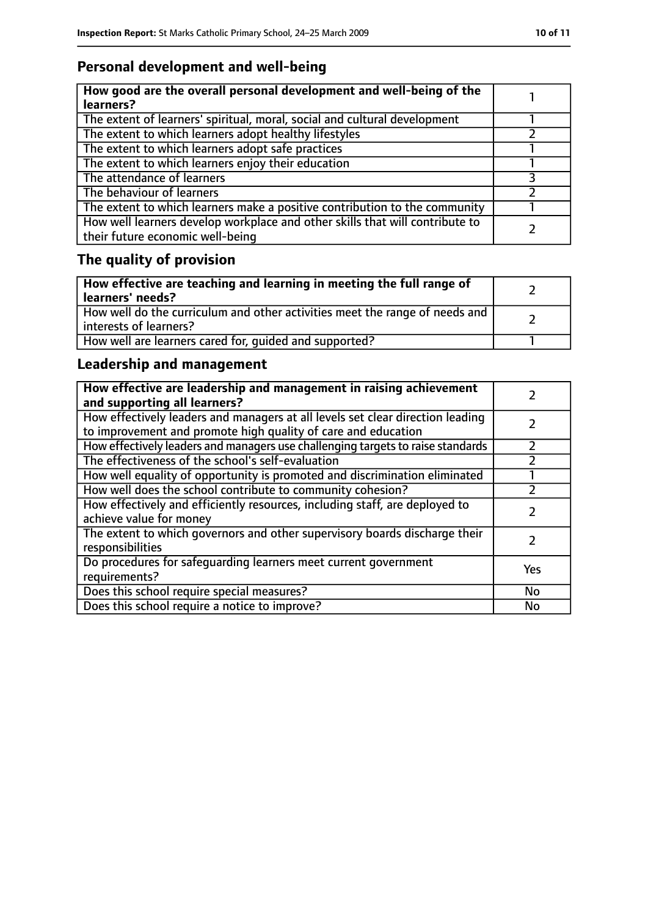# **Personal development and well-being**

| How good are the overall personal development and well-being of the<br>learners?                                 |  |
|------------------------------------------------------------------------------------------------------------------|--|
| The extent of learners' spiritual, moral, social and cultural development                                        |  |
| The extent to which learners adopt healthy lifestyles                                                            |  |
| The extent to which learners adopt safe practices                                                                |  |
| The extent to which learners enjoy their education                                                               |  |
| The attendance of learners                                                                                       |  |
| The behaviour of learners                                                                                        |  |
| The extent to which learners make a positive contribution to the community                                       |  |
| How well learners develop workplace and other skills that will contribute to<br>their future economic well-being |  |

# **The quality of provision**

| How effective are teaching and learning in meeting the full range of<br>learners' needs?              |  |
|-------------------------------------------------------------------------------------------------------|--|
| How well do the curriculum and other activities meet the range of needs and<br>interests of learners? |  |
| How well are learners cared for, quided and supported?                                                |  |

# **Leadership and management**

| How effective are leadership and management in raising achievement<br>and supporting all learners?                                              |     |
|-------------------------------------------------------------------------------------------------------------------------------------------------|-----|
| How effectively leaders and managers at all levels set clear direction leading<br>to improvement and promote high quality of care and education |     |
| How effectively leaders and managers use challenging targets to raise standards                                                                 |     |
| The effectiveness of the school's self-evaluation                                                                                               |     |
| How well equality of opportunity is promoted and discrimination eliminated                                                                      |     |
| How well does the school contribute to community cohesion?                                                                                      |     |
| How effectively and efficiently resources, including staff, are deployed to<br>achieve value for money                                          |     |
| The extent to which governors and other supervisory boards discharge their<br>responsibilities                                                  |     |
| Do procedures for safequarding learners meet current government<br>requirements?                                                                | Yes |
| Does this school require special measures?                                                                                                      | No  |
| Does this school require a notice to improve?                                                                                                   | No  |